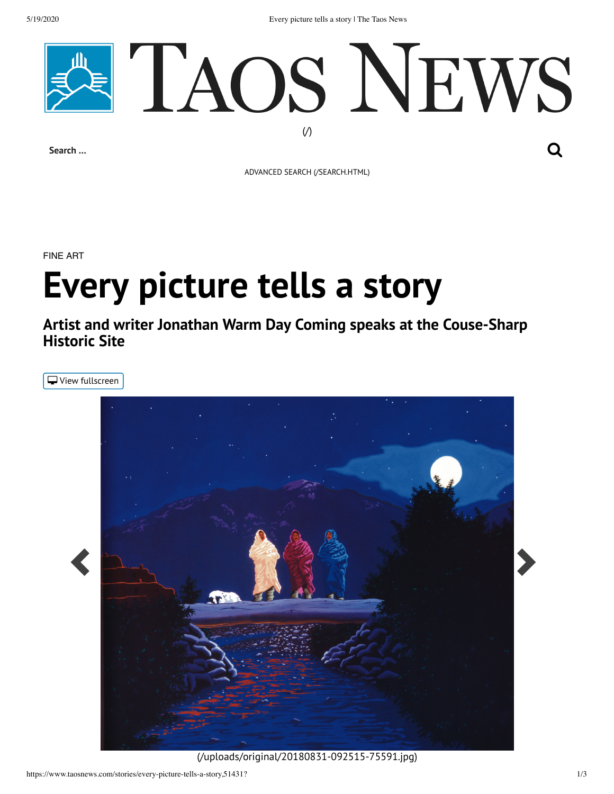5/19/2020 Every picture tells a story | The Taos News



ADVANCED SEARCH [\(/SEARCH.HTML\)](https://www.taosnews.com/search.html)

FINE ART

## **Every picture tells a story**

**Artist and writer Jonathan Warm Day Coming speaks at the Couse-Sharp Historic Site**

<span id="page-0-0"></span> $\Box$  View fullscreen



[\(/uploads/original/20180831-092515-75591.jpg\)](https://www.taosnews.com/uploads/original/20180831-092515-75591.jpg)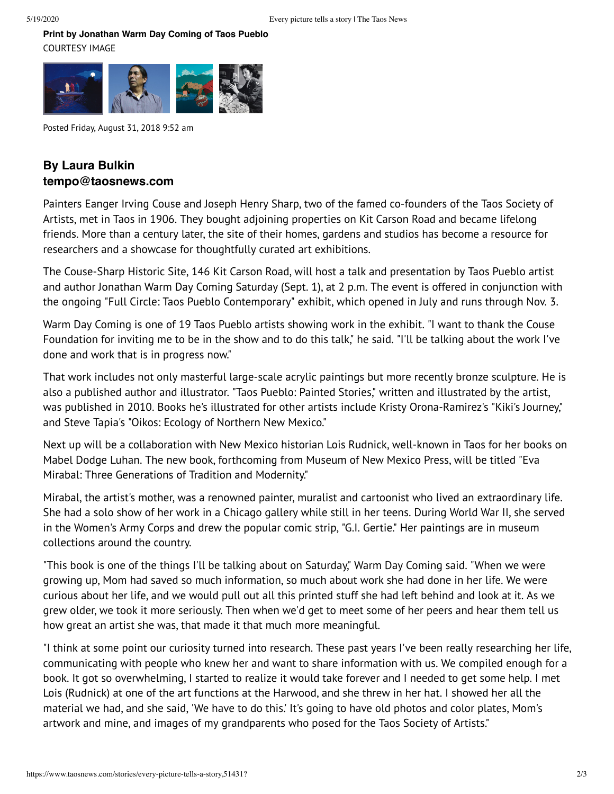**[Print by Jonathan W](#page-0-0)arm Day Coming of Taos Pueblo** COURTESY IMAGE



Posted Friday, August 31, 2018 9:52 am

## **By Laura Bulkin tempo@taosnews.com**

Painters Eanger Irving Couse and Joseph Henry Sharp, two of the famed co-founders of the Taos Society of Artists, met in Taos in 1906. They bought adjoining properties on Kit Carson Road and became lifelong friends. More than a century later, the site of their homes, gardens and studios has become a resource for researchers and a showcase for thoughtfully curated art exhibitions.

The Couse-Sharp Historic Site, 146 Kit Carson Road, will host a talk and presentation by Taos Pueblo artist and author Jonathan Warm Day Coming Saturday (Sept. 1), at 2 p.m. The event is offered in conjunction with the ongoing "Full Circle: Taos Pueblo Contemporary" exhibit, which opened in July and runs through Nov. 3.

Warm Day Coming is one of 19 Taos Pueblo artists showing work in the exhibit. "I want to thank the Couse Foundation for inviting me to be in the show and to do this talk," he said. "I'll be talking about the work I've done and work that is in progress now."

That work includes not only masterful large-scale acrylic paintings but more recently bronze sculpture. He is also a published author and illustrator. "Taos Pueblo: Painted Stories," written and illustrated by the artist, was published in 2010. Books he's illustrated for other artists include Kristy Orona-Ramirez's "Kiki's Journey," and Steve Tapia's "Oikos: Ecology of Northern New Mexico."

Next up will be a collaboration with New Mexico historian Lois Rudnick, well-known in Taos for her books on Mabel Dodge Luhan. The new book, forthcoming from Museum of New Mexico Press, will be titled "Eva Mirabal: Three Generations of Tradition and Modernity."

Mirabal, the artist's mother, was a renowned painter, muralist and cartoonist who lived an extraordinary life. She had a solo show of her work in a Chicago gallery while still in her teens. During World War II, she served in the Women's Army Corps and drew the popular comic strip, "G.I. Gertie." Her paintings are in museum collections around the country.

"This book is one of the things I'll be talking about on Saturday," Warm Day Coming said. "When we were growing up, Mom had saved so much information, so much about work she had done in her life. We were curious about her life, and we would pull out all this printed stuff she had left behind and look at it. As we grew older, we took it more seriously. Then when we'd get to meet some of her peers and hear them tell us how great an artist she was, that made it that much more meaningful.

"I think at some point our curiosity turned into research. These past years I've been really researching her life, communicating with people who knew her and want to share information with us. We compiled enough for a book. It got so overwhelming, I started to realize it would take forever and I needed to get some help. I met Lois (Rudnick) at one of the art functions at the Harwood, and she threw in her hat. I showed her all the material we had, and she said, 'We have to do this.' It's going to have old photos and color plates, Mom's artwork and mine, and images of my grandparents who posed for the Taos Society of Artists."